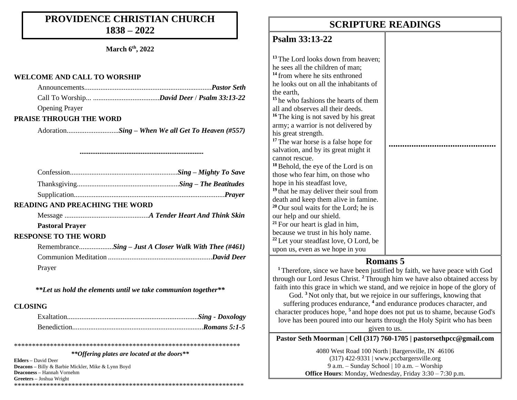### **PROVIDENCE CHRISTIAN CHURCH 1838 – 2022**

**March 6th, 2022**

#### **WELCOME AND CALL TO WORSHIP**

| - - - |  |  |
|-------|--|--|

#### Opening Prayer

#### **PRAISE THROUGH THE WORD**

Adoration.............................*Sing – When We all Get To Heaven (#557)*

*.....................................................................*

#### **READING AND PREACHING THE WORD**

Message ...............................................*A Tender Heart And Think Skin*

#### **Pastoral Prayer**

#### **RESPONSE TO THE WORD**

| RemembranceSing - Just A Closer Walk With Thee (#461) |  |  |
|-------------------------------------------------------|--|--|
|                                                       |  |  |
| Prayer                                                |  |  |

*\*\*Let us hold the elements until we take communion together\*\**

#### **CLOSING**

*\*\*Offering plates are located at the doors\*\**

\*\*\*\*\*\*\*\*\*\*\*\*\*\*\*\*\*\*\*\*\*\*\*\*\*\*\*\*\*\*\*\*\*\*\*\*\*\*\*\*\*\*\*\*\*\*\*\*\*\*\*\*\*\*\*\*\*\*\*\*\*\*\*

**Elders –** David Deer **Deacons –** Billy & Barbie Mickler, Mike & Lynn Boyd **Deaconess –** Hannah Vornehm **Greeters –** Joshua Wright \*\*\*\*\*\*\*\*\*\*\*\*\*\*\*\*\*\*\*\*\*\*\*\*\*\*\*\*\*\*\*\*\*\*\*\*\*\*\*\*\*\*\*\*\*\*\*\*\*\*\*\*\*\*\*\*\*\*\*\*\*\*\*\*

### **SCRIPTURE READINGS SCRIPTURE READINGS**

#### **Psalm 33:13-22**

**<sup>13</sup>** The Lord looks down from heaven; he sees all the children of man; **<sup>14</sup>** from where he sits enthroned he looks out on all the inhabitants of the earth, **<sup>15</sup>** he who fashions the hearts of them all and observes all their deeds. **<sup>16</sup>** The king is not saved by his great army; a warrior is not delivered by his great strength. **<sup>17</sup>** The war horse is a false hope for salvation, and by its great might it cannot rescue. **<sup>18</sup>**Behold, the eye of the Lord is on those who fear him, on those who hope in his steadfast love, **<sup>19</sup>** that he may deliver their soul from death and keep them alive in famine. **<sup>20</sup>** Our soul waits for the Lord; he is our help and our shield. **<sup>21</sup>** For our heart is glad in him, because we trust in his holy name. **<sup>22</sup>** Let your steadfast love, O Lord, be upon us, even as we hope in you **............................................... Martin Family – Hope**

#### **Romans 5**

**<sup>1</sup>** Therefore, since we have been justified by faith, we have peace with God through our Lord Jesus Christ. **<sup>2</sup>** Through him we have also obtained access by faith into this grace in which we stand, and we rejoice in hope of the glory of

God. **<sup>3</sup>** Not only that, but we rejoice in our sufferings, knowing that suffering produces endurance, **<sup>4</sup>** and endurance produces character, and character produces hope, **<sup>5</sup>** and hope does not put us to shame, because God's love has been poured into our hearts through the Holy Spirit who has been given to us.

**Pastor Seth Moorman | Cell (317) 760-1705 | pastorsethpcc@gmail.com**

4080 West Road 100 North | Bargersville, IN 46106 (317) 422-9331 | www.pccbargersville.org 9 a.m. – Sunday School | 10 a.m. – Worship **Office Hours**: Monday, Wednesday, Friday 3:30 – 7:30 p.m.